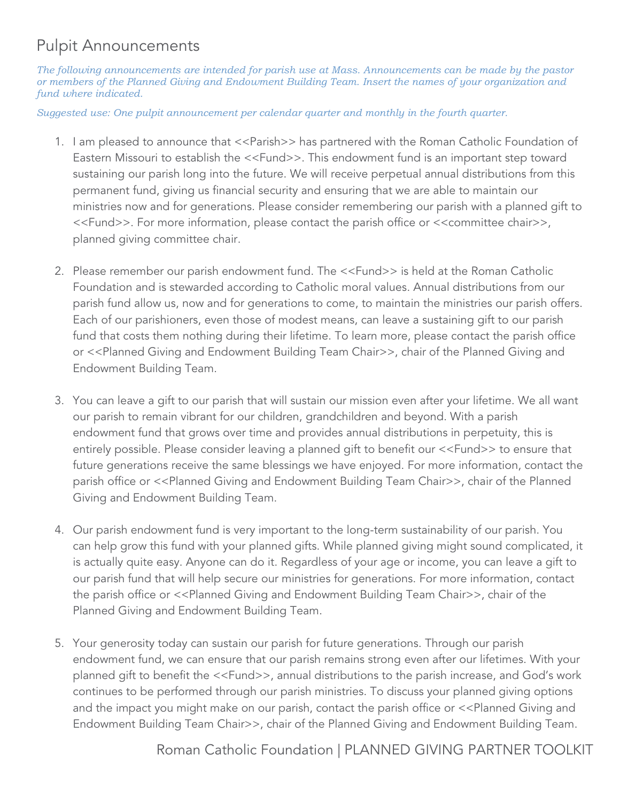## Pulpit Announcements

*The following announcements are intended for parish use at Mass. Announcements can be made by the pastor or members of the Planned Giving and Endowment Building Team. Insert the names of your organization and fund where indicated.*

*Suggested use: One pulpit announcement per calendar quarter and monthly in the fourth quarter.*

- 1. I am pleased to announce that <<Parish>> has partnered with the Roman Catholic Foundation of Eastern Missouri to establish the <<Fund>>. This endowment fund is an important step toward sustaining our parish long into the future. We will receive perpetual annual distributions from this permanent fund, giving us financial security and ensuring that we are able to maintain our ministries now and for generations. Please consider remembering our parish with a planned gift to <<Fund>>. For more information, please contact the parish office or <<committee chair>>, planned giving committee chair.
- 2. Please remember our parish endowment fund. The <<Fund>> is held at the Roman Catholic Foundation and is stewarded according to Catholic moral values. Annual distributions from our parish fund allow us, now and for generations to come, to maintain the ministries our parish offers. Each of our parishioners, even those of modest means, can leave a sustaining gift to our parish fund that costs them nothing during their lifetime. To learn more, please contact the parish office or <<Planned Giving and Endowment Building Team Chair>>, chair of the Planned Giving and Endowment Building Team.
- 3. You can leave a gift to our parish that will sustain our mission even after your lifetime. We all want our parish to remain vibrant for our children, grandchildren and beyond. With a parish endowment fund that grows over time and provides annual distributions in perpetuity, this is entirely possible. Please consider leaving a planned gift to benefit our <<Fund>> to ensure that future generations receive the same blessings we have enjoyed. For more information, contact the parish office or <<Planned Giving and Endowment Building Team Chair>>, chair of the Planned Giving and Endowment Building Team.
- 4. Our parish endowment fund is very important to the long-term sustainability of our parish. You can help grow this fund with your planned gifts. While planned giving might sound complicated, it is actually quite easy. Anyone can do it. Regardless of your age or income, you can leave a gift to our parish fund that will help secure our ministries for generations. For more information, contact the parish office or <<Planned Giving and Endowment Building Team Chair>>, chair of the Planned Giving and Endowment Building Team.
- 5. Your generosity today can sustain our parish for future generations. Through our parish endowment fund, we can ensure that our parish remains strong even after our lifetimes. With your planned gift to benefit the <<Fund>>, annual distributions to the parish increase, and God's work continues to be performed through our parish ministries. To discuss your planned giving options and the impact you might make on our parish, contact the parish office or <<Planned Giving and Endowment Building Team Chair>>, chair of the Planned Giving and Endowment Building Team.

Roman Catholic Foundation | PLANNED GIVING PARTNER TOOLKIT